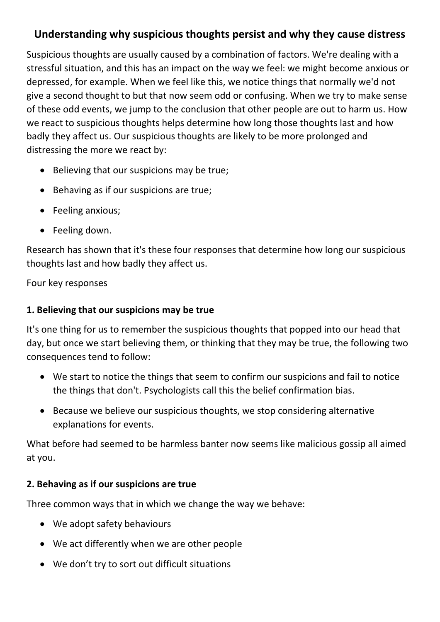# **Understanding why suspicious thoughts persist and why they cause distress**

Suspicious thoughts are usually caused by a combination of factors. We're dealing with a stressful situation, and this has an impact on the way we feel: we might become anxious or depressed, for example. When we feel like this, we notice things that normally we'd not give a second thought to but that now seem odd or confusing. When we try to make sense of these odd events, we jump to the conclusion that other people are out to harm us. How we react to suspicious thoughts helps determine how long those thoughts last and how badly they affect us. Our suspicious thoughts are likely to be more prolonged and distressing the more we react by:

- Believing that our suspicions may be true;
- Behaving as if our suspicions are true;
- Feeling anxious;
- Feeling down.

Research has shown that it's these four responses that determine how long our suspicious thoughts last and how badly they affect us.

Four key responses

### **1. Believing that our suspicions may be true**

It's one thing for us to remember the suspicious thoughts that popped into our head that day, but once we start believing them, or thinking that they may be true, the following two consequences tend to follow:

- We start to notice the things that seem to confirm our suspicions and fail to notice the things that don't. Psychologists call this the belief confirmation bias.
- Because we believe our suspicious thoughts, we stop considering alternative explanations for events.

What before had seemed to be harmless banter now seems like malicious gossip all aimed at you.

## **2. Behaving as if our suspicions are true**

Three common ways that in which we change the way we behave:

- We adopt safety behaviours
- We act differently when we are other people
- We don't try to sort out difficult situations